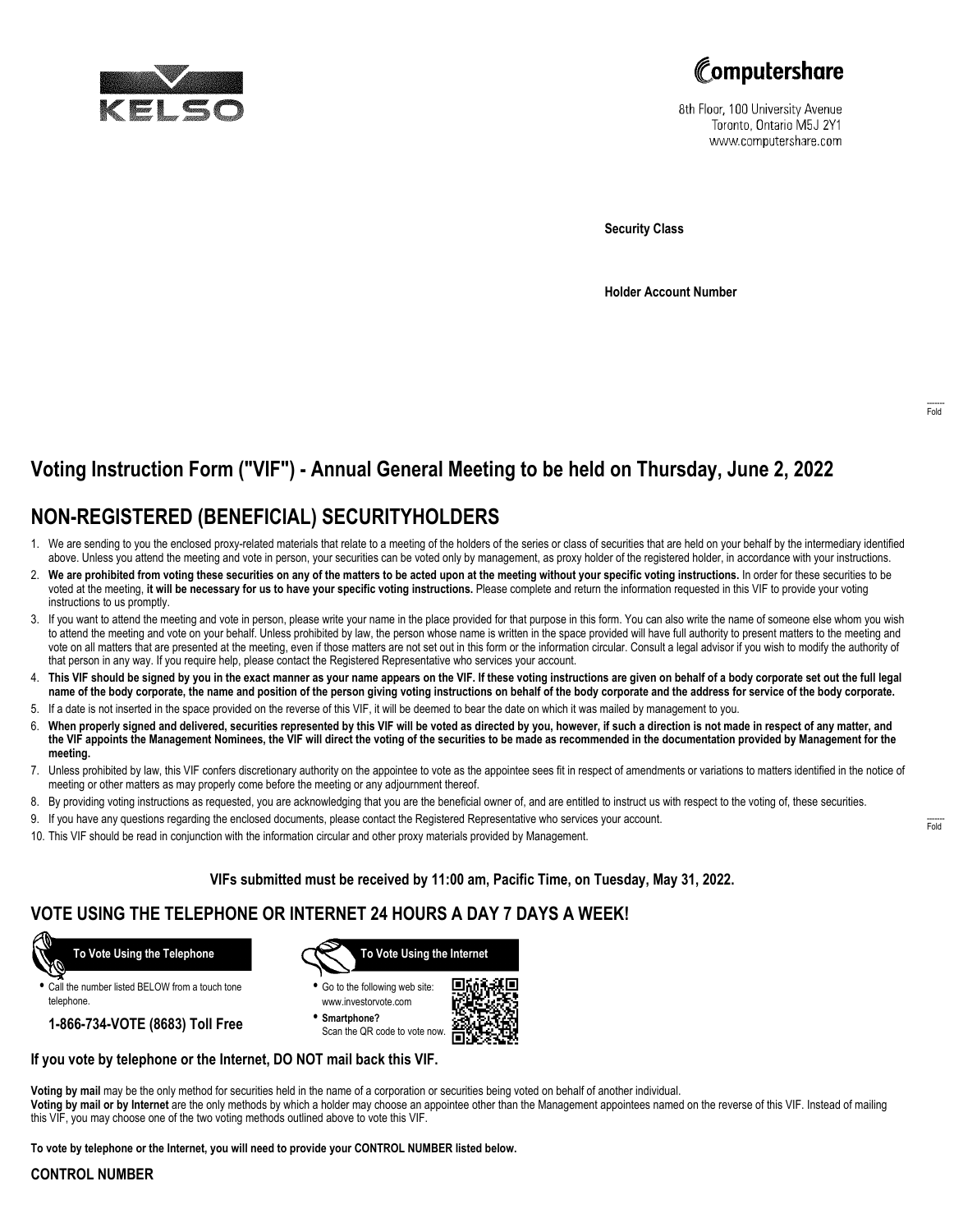



8th Floor, 100 University Avenue Toronto, Ontario M5J 2Y1 www.computershare.com

**Security Class**

**Holder Account Number**

# **Voting Instruction Form ("VIF") - Annual General Meeting to be held on Thursday, June 2, 2022**

## **NON-REGISTERED (BENEFICIAL) SECURITYHOLDERS**

- 1. We are sending to you the enclosed proxy-related materials that relate to a meeting of the holders of the series or class of securities that are held on your behalf by the intermediary identified above. Unless you attend the meeting and vote in person, your securities can be voted only by management, as proxy holder of the registered holder, in accordance with your instructions.
- 2. **We are prohibited from voting these securities on any of the matters to be acted upon at the meeting without your specific voting instructions.** In order for these securities to be voted at the meeting, **it will be necessary for us to have your specific voting instructions.** Please complete and return the information requested in this VIF to provide your voting instructions to us promptly.
- 3. If you want to attend the meeting and vote in person, please write your name in the place provided for that purpose in this form. You can also write the name of someone else whom you wish to attend the meeting and vote on your behalf. Unless prohibited by law, the person whose name is written in the space provided will have full authority to present matters to the meeting and vote on all matters that are presented at the meeting, even if those matters are not set out in this form or the information circular. Consult a legal advisor if you wish to modify the authority of that person in any way. If you require help, please contact the Registered Representative who services your account.
- 4. **This VIF should be signed by you in the exact manner as your name appears on the VIF. If these voting instructions are given on behalf of a body corporate set out the full legal name of the body corporate, the name and position of the person giving voting instructions on behalf of the body corporate and the address for service of the body corporate.**
- 5. If a date is not inserted in the space provided on the reverse of this VIF, it will be deemed to bear the date on which it was mailed by management to you.
- 6. **When properly signed and delivered, securities represented by this VIF will be voted as directed by you, however, if such a direction is not made in respect of any matter, and the VIF appoints the Management Nominees, the VIF will direct the voting of the securities to be made as recommended in the documentation provided by Management for the meeting.**
- 7. Unless prohibited by law, this VIF confers discretionary authority on the appointee to vote as the appointee sees fit in respect of amendments or variations to matters identified in the notice of meeting or other matters as may properly come before the meeting or any adjournment thereof.
- 8. By providing voting instructions as requested, you are acknowledging that you are the beneficial owner of, and are entitled to instruct us with respect to the voting of, these securities.
- 9. If you have any questions regarding the enclosed documents, please contact the Registered Representative who services your account.
- 10. This VIF should be read in conjunction with the information circular and other proxy materials provided by Management.

## **VIFs submitted must be received by 11:00 am, Pacific Time, on Tuesday, May 31, 2022.**

## **VOTE USING THE TELEPHONE OR INTERNET 24 HOURS A DAY 7 DAYS A WEEK!**



**•** Call the number listed BELOW from a touch tone telephone.

**1-866-734-VOTE (8683) Toll Free**



- **•** Go to the following web site: www.investorvote.com
- **• Smartphone?** Scan the QR code to vote now.



## **If you vote by telephone or the Internet, DO NOT mail back this VIF.**

**Voting by mail** may be the only method for securities held in the name of a corporation or securities being voted on behalf of another individual. **Voting by mail or by Internet** are the only methods by which a holder may choose an appointee other than the Management appointees named on the reverse of this VIF. Instead of mailing this VIF, you may choose one of the two voting methods outlined above to vote this VIF.

**To vote by telephone or the Internet, you will need to provide your CONTROL NUMBER listed below.**

#### **CONTROL NUMBER**